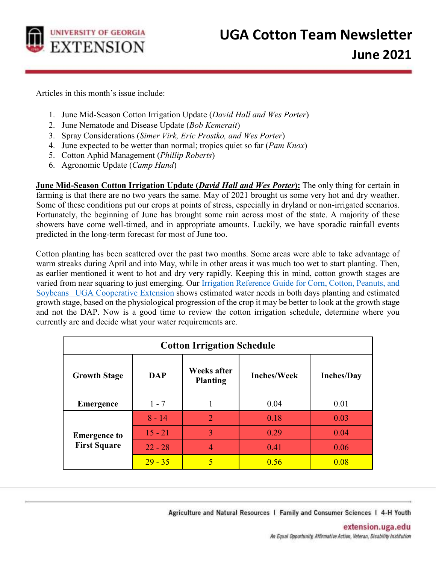

Articles in this month's issue include:

- 1. June Mid-Season Cotton Irrigation Update (*David Hall and Wes Porter*)
- 2. June Nematode and Disease Update (*Bob Kemerait*)
- 3. Spray Considerations (*Simer Virk, Eric Prostko, and Wes Porter*)
- 4. June expected to be wetter than normal; tropics quiet so far (*Pam Knox*)
- 5. Cotton Aphid Management (*Phillip Roberts*)
- 6. Agronomic Update (*Camp Hand*)

**June Mid-Season Cotton Irrigation Update (***David Hall and Wes Porter***):** The only thing for certain in farming is that there are no two years the same. May of 2021 brought us some very hot and dry weather. Some of these conditions put our crops at points of stress, especially in dryland or non-irrigated scenarios. Fortunately, the beginning of June has brought some rain across most of the state. A majority of these showers have come well-timed, and in appropriate amounts. Luckily, we have sporadic rainfall events predicted in the long-term forecast for most of June too.

Cotton planting has been scattered over the past two months. Some areas were able to take advantage of warm streaks during April and into May, while in other areas it was much too wet to start planting. Then, as earlier mentioned it went to hot and dry very rapidly. Keeping this in mind, cotton growth stages are varied from near squaring to just emerging. Our [Irrigation Reference Guide for Corn, Cotton, Peanuts, and](https://extension.uga.edu/publications/detail.html?number=C1189&%20Cotton,%20Peanuts,%20and%20Soybeans) [Soybeans | UGA Cooperative Extension](https://extension.uga.edu/publications/detail.html?number=C1189&%20Cotton,%20Peanuts,%20and%20Soybeans) shows estimated water needs in both days planting and estimated growth stage, based on the physiological progression of the crop it may be better to look at the growth stage and not the DAP. Now is a good time to review the cotton irrigation schedule, determine where you currently are and decide what your water requirements are.

| <b>Cotton Irrigation Schedule</b>          |            |                                       |                    |                   |  |  |
|--------------------------------------------|------------|---------------------------------------|--------------------|-------------------|--|--|
| <b>Growth Stage</b>                        | <b>DAP</b> | <b>Weeks after</b><br><b>Planting</b> | <b>Inches/Week</b> | <b>Inches/Day</b> |  |  |
| <b>Emergence</b>                           | $1 - 7$    |                                       | 0.04               | 0.01              |  |  |
| <b>Emergence to</b><br><b>First Square</b> | $8 - 14$   | $\mathcal{D}_{\mathcal{A}}$           | 0.18               | 0.03              |  |  |
|                                            | $15 - 21$  | 3                                     | 0.29               | 0.04              |  |  |
|                                            | $22 - 28$  | 4                                     | 0.41               | 0.06              |  |  |
|                                            | $29 - 35$  | 5                                     | 0.56               | 0.08              |  |  |

Agriculture and Natural Resources | Family and Consumer Sciences | 4-H Youth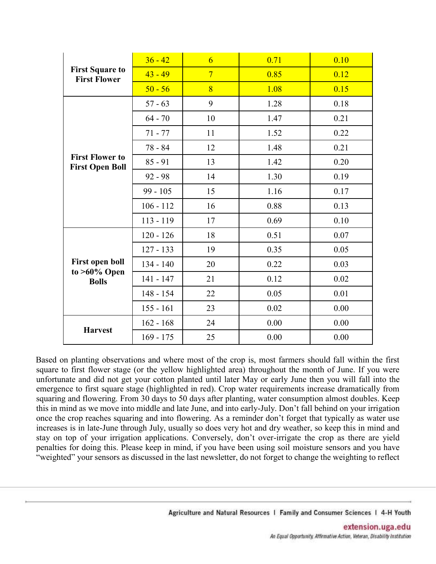| <b>First Square to</b><br><b>First Flower</b>             | $36 - 42$   | $\overline{6}$ | 0.71 | 0.10 |
|-----------------------------------------------------------|-------------|----------------|------|------|
|                                                           | $43 - 49$   | $\overline{7}$ | 0.85 | 0.12 |
|                                                           | $50 - 56$   | 8              | 1.08 | 0.15 |
| <b>First Flower to</b><br><b>First Open Boll</b>          | $57 - 63$   | 9              | 1.28 | 0.18 |
|                                                           | $64 - 70$   | 10             | 1.47 | 0.21 |
|                                                           | $71 - 77$   | 11             | 1.52 | 0.22 |
|                                                           | 78 - 84     | 12             | 1.48 | 0.21 |
|                                                           | $85 - 91$   | 13             | 1.42 | 0.20 |
|                                                           | $92 - 98$   | 14             | 1.30 | 0.19 |
|                                                           | $99 - 105$  | 15             | 1.16 | 0.17 |
|                                                           | $106 - 112$ | 16             | 0.88 | 0.13 |
|                                                           | 113 - 119   | 17             | 0.69 | 0.10 |
| <b>First open boll</b><br>to $>60\%$ Open<br><b>Bolls</b> | $120 - 126$ | 18             | 0.51 | 0.07 |
|                                                           | $127 - 133$ | 19             | 0.35 | 0.05 |
|                                                           | 134 - 140   | 20             | 0.22 | 0.03 |
|                                                           | $141 - 147$ | 21             | 0.12 | 0.02 |
|                                                           | $148 - 154$ | 22             | 0.05 | 0.01 |
|                                                           | $155 - 161$ | 23             | 0.02 | 0.00 |
| <b>Harvest</b>                                            | $162 - 168$ | 24             | 0.00 | 0.00 |
|                                                           | $169 - 175$ | 25             | 0.00 | 0.00 |

Based on planting observations and where most of the crop is, most farmers should fall within the first square to first flower stage (or the yellow highlighted area) throughout the month of June. If you were unfortunate and did not get your cotton planted until later May or early June then you will fall into the emergence to first square stage (highlighted in red). Crop water requirements increase dramatically from squaring and flowering. From 30 days to 50 days after planting, water consumption almost doubles. Keep this in mind as we move into middle and late June, and into early-July. Don't fall behind on your irrigation once the crop reaches squaring and into flowering. As a reminder don't forget that typically as water use increases is in late-June through July, usually so does very hot and dry weather, so keep this in mind and stay on top of your irrigation applications. Conversely, don't over-irrigate the crop as there are yield penalties for doing this. Please keep in mind, if you have been using soil moisture sensors and you have "weighted" your sensors as discussed in the last newsletter, do not forget to change the weighting to reflect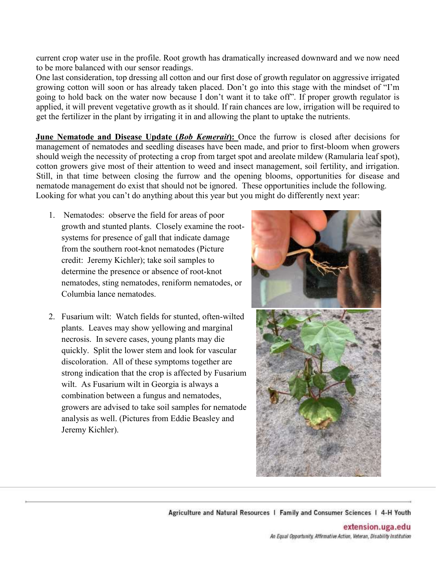current crop water use in the profile. Root growth has dramatically increased downward and we now need to be more balanced with our sensor readings.

One last consideration, top dressing all cotton and our first dose of growth regulator on aggressive irrigated growing cotton will soon or has already taken placed. Don't go into this stage with the mindset of "I'm going to hold back on the water now because I don't want it to take off". If proper growth regulator is applied, it will prevent vegetative growth as it should. If rain chances are low, irrigation will be required to get the fertilizer in the plant by irrigating it in and allowing the plant to uptake the nutrients.

**June Nematode and Disease Update (***Bob Kemerait***):** Once the furrow is closed after decisions for management of nematodes and seedling diseases have been made, and prior to first-bloom when growers should weigh the necessity of protecting a crop from target spot and areolate mildew (Ramularia leaf spot), cotton growers give most of their attention to weed and insect management, soil fertility, and irrigation. Still, in that time between closing the furrow and the opening blooms, opportunities for disease and nematode management do exist that should not be ignored. These opportunities include the following. Looking for what you can't do anything about this year but you might do differently next year:

- 1. Nematodes: observe the field for areas of poor growth and stunted plants. Closely examine the rootsystems for presence of gall that indicate damage from the southern root-knot nematodes (Picture credit: Jeremy Kichler); take soil samples to determine the presence or absence of root-knot nematodes, sting nematodes, reniform nematodes, or Columbia lance nematodes.
- 2. Fusarium wilt: Watch fields for stunted, often-wilted plants. Leaves may show yellowing and marginal necrosis. In severe cases, young plants may die quickly. Split the lower stem and look for vascular discoloration. All of these symptoms together are strong indication that the crop is affected by Fusarium wilt. As Fusarium wilt in Georgia is always a combination between a fungus and nematodes, growers are advised to take soil samples for nematode analysis as well. (Pictures from Eddie Beasley and Jeremy Kichler).



Agriculture and Natural Resources 1 Family and Consumer Sciences 1 4-H Youth

extension.uga.edu An Equal Opportunity, Affirmative Action, Veteran, Disability Institution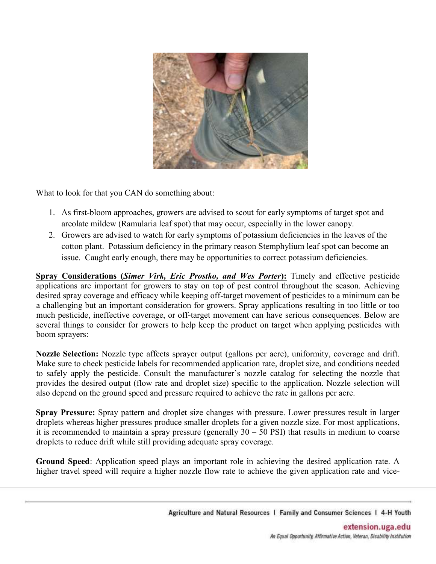

What to look for that you CAN do something about:

- 1. As first-bloom approaches, growers are advised to scout for early symptoms of target spot and areolate mildew (Ramularia leaf spot) that may occur, especially in the lower canopy.
- 2. Growers are advised to watch for early symptoms of potassium deficiencies in the leaves of the cotton plant. Potassium deficiency in the primary reason Stemphylium leaf spot can become an issue. Caught early enough, there may be opportunities to correct potassium deficiencies.

**Spray Considerations (***Simer Virk, Eric Prostko, and Wes Porter***):** Timely and effective pesticide applications are important for growers to stay on top of pest control throughout the season. Achieving desired spray coverage and efficacy while keeping off-target movement of pesticides to a minimum can be a challenging but an important consideration for growers. Spray applications resulting in too little or too much pesticide, ineffective coverage, or off-target movement can have serious consequences. Below are several things to consider for growers to help keep the product on target when applying pesticides with boom sprayers:

**Nozzle Selection:** Nozzle type affects sprayer output (gallons per acre), uniformity, coverage and drift. Make sure to check pesticide labels for recommended application rate, droplet size, and conditions needed to safely apply the pesticide. Consult the manufacturer's nozzle catalog for selecting the nozzle that provides the desired output (flow rate and droplet size) specific to the application. Nozzle selection will also depend on the ground speed and pressure required to achieve the rate in gallons per acre.

**Spray Pressure:** Spray pattern and droplet size changes with pressure. Lower pressures result in larger droplets whereas higher pressures produce smaller droplets for a given nozzle size. For most applications, it is recommended to maintain a spray pressure (generally  $30 - 50$  PSI) that results in medium to coarse droplets to reduce drift while still providing adequate spray coverage.

**Ground Speed**: Application speed plays an important role in achieving the desired application rate. A higher travel speed will require a higher nozzle flow rate to achieve the given application rate and vice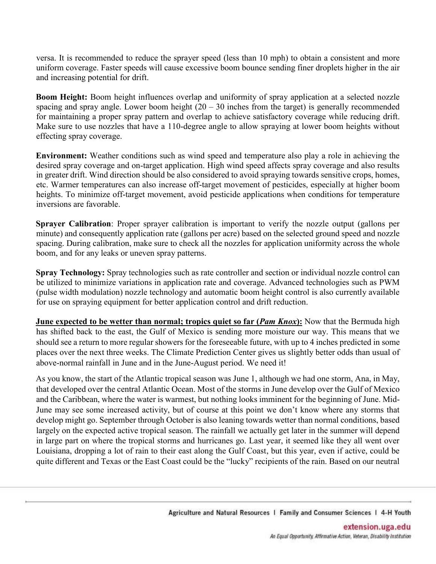versa. It is recommended to reduce the sprayer speed (less than 10 mph) to obtain a consistent and more uniform coverage. Faster speeds will cause excessive boom bounce sending finer droplets higher in the air and increasing potential for drift.

**Boom Height:** Boom height influences overlap and uniformity of spray application at a selected nozzle spacing and spray angle. Lower boom height  $(20 - 30)$  inches from the target) is generally recommended for maintaining a proper spray pattern and overlap to achieve satisfactory coverage while reducing drift. Make sure to use nozzles that have a 110-degree angle to allow spraying at lower boom heights without effecting spray coverage.

**Environment:** Weather conditions such as wind speed and temperature also play a role in achieving the desired spray coverage and on-target application. High wind speed affects spray coverage and also results in greater drift. Wind direction should be also considered to avoid spraying towards sensitive crops, homes, etc. Warmer temperatures can also increase off-target movement of pesticides, especially at higher boom heights. To minimize off-target movement, avoid pesticide applications when conditions for temperature inversions are favorable.

**Sprayer Calibration**: Proper sprayer calibration is important to verify the nozzle output (gallons per minute) and consequently application rate (gallons per acre) based on the selected ground speed and nozzle spacing. During calibration, make sure to check all the nozzles for application uniformity across the whole boom, and for any leaks or uneven spray patterns.

**Spray Technology:** Spray technologies such as rate controller and section or individual nozzle control can be utilized to minimize variations in application rate and coverage. Advanced technologies such as PWM (pulse width modulation) nozzle technology and automatic boom height control is also currently available for use on spraying equipment for better application control and drift reduction.

**June expected to be wetter than normal; tropics quiet so far (***Pam Knox***):** Now that the Bermuda high has shifted back to the east, the Gulf of Mexico is sending more moisture our way. This means that we should see a return to more regular showers for the foreseeable future, with up to 4 inches predicted in some places over the next three weeks. The Climate Prediction Center gives us slightly better odds than usual of above-normal rainfall in June and in the June-August period. We need it!

As you know, the start of the Atlantic tropical season was June 1, although we had one storm, Ana, in May, that developed over the central Atlantic Ocean. Most of the storms in June develop over the Gulf of Mexico and the Caribbean, where the water is warmest, but nothing looks imminent for the beginning of June. Mid-June may see some increased activity, but of course at this point we don't know where any storms that develop might go. September through October is also leaning towards wetter than normal conditions, based largely on the expected active tropical season. The rainfall we actually get later in the summer will depend in large part on where the tropical storms and hurricanes go. Last year, it seemed like they all went over Louisiana, dropping a lot of rain to their east along the Gulf Coast, but this year, even if active, could be quite different and Texas or the East Coast could be the "lucky" recipients of the rain. Based on our neutral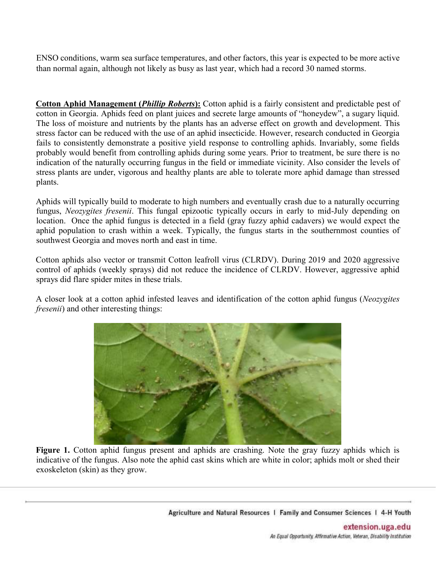ENSO conditions, warm sea surface temperatures, and other factors, this year is expected to be more active than normal again, although not likely as busy as last year, which had a record 30 named storms.

**Cotton Aphid Management (***Phillip Roberts***):** Cotton aphid is a fairly consistent and predictable pest of cotton in Georgia. Aphids feed on plant juices and secrete large amounts of "honeydew", a sugary liquid. The loss of moisture and nutrients by the plants has an adverse effect on growth and development. This stress factor can be reduced with the use of an aphid insecticide. However, research conducted in Georgia fails to consistently demonstrate a positive yield response to controlling aphids. Invariably, some fields probably would benefit from controlling aphids during some years. Prior to treatment, be sure there is no indication of the naturally occurring fungus in the field or immediate vicinity. Also consider the levels of stress plants are under, vigorous and healthy plants are able to tolerate more aphid damage than stressed plants.

Aphids will typically build to moderate to high numbers and eventually crash due to a naturally occurring fungus, *Neozygites fresenii*. This fungal epizootic typically occurs in early to mid-July depending on location. Once the aphid fungus is detected in a field (gray fuzzy aphid cadavers) we would expect the aphid population to crash within a week. Typically, the fungus starts in the southernmost counties of southwest Georgia and moves north and east in time.

Cotton aphids also vector or transmit Cotton leafroll virus (CLRDV). During 2019 and 2020 aggressive control of aphids (weekly sprays) did not reduce the incidence of CLRDV. However, aggressive aphid sprays did flare spider mites in these trials.

A closer look at a cotton aphid infested leaves and identification of the cotton aphid fungus (*Neozygites fresenii*) and other interesting things:



**Figure 1.** Cotton aphid fungus present and aphids are crashing. Note the gray fuzzy aphids which is indicative of the fungus. Also note the aphid cast skins which are white in color; aphids molt or shed their exoskeleton (skin) as they grow.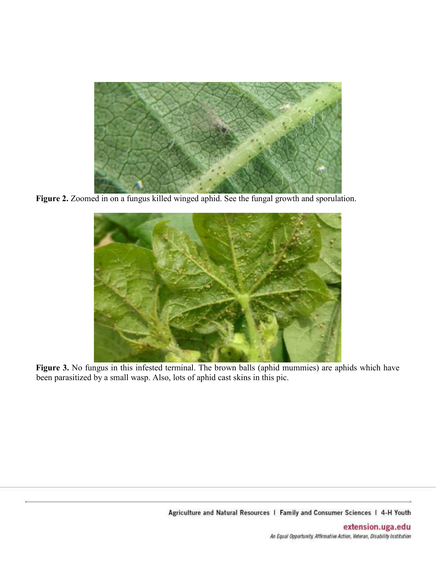

**Figure 2.** Zoomed in on a fungus killed winged aphid. See the fungal growth and sporulation.



**Figure 3.** No fungus in this infested terminal. The brown balls (aphid mummies) are aphids which have been parasitized by a small wasp. Also, lots of aphid cast skins in this pic.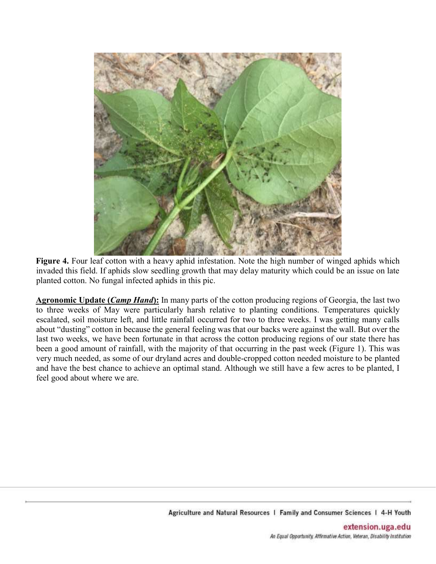

**Figure 4.** Four leaf cotton with a heavy aphid infestation. Note the high number of winged aphids which invaded this field. If aphids slow seedling growth that may delay maturity which could be an issue on late planted cotton. No fungal infected aphids in this pic.

**Agronomic Update (***Camp Hand***):** In many parts of the cotton producing regions of Georgia, the last two to three weeks of May were particularly harsh relative to planting conditions. Temperatures quickly escalated, soil moisture left, and little rainfall occurred for two to three weeks. I was getting many calls about "dusting" cotton in because the general feeling was that our backs were against the wall. But over the last two weeks, we have been fortunate in that across the cotton producing regions of our state there has been a good amount of rainfall, with the majority of that occurring in the past week (Figure 1). This was very much needed, as some of our dryland acres and double-cropped cotton needed moisture to be planted and have the best chance to achieve an optimal stand. Although we still have a few acres to be planted, I feel good about where we are.